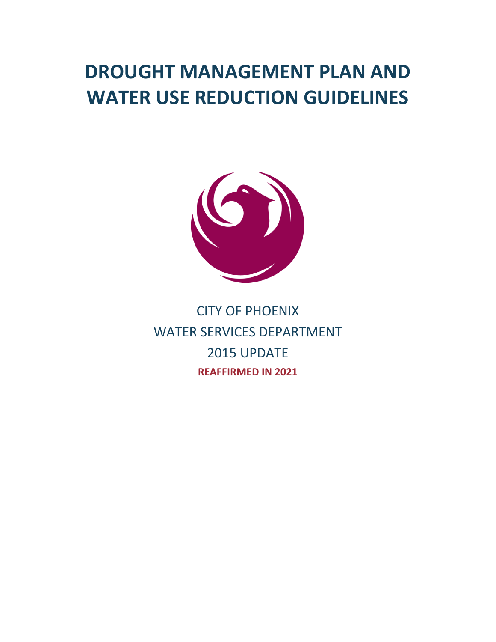# **DROUGHT MANAGEMENT PLAN AND WATER USE REDUCTION GUIDELINES**



CITY OF PHOENIX WATER SERVICES DEPARTMENT 2015 UPDATE **REAFFIRMED IN 2021**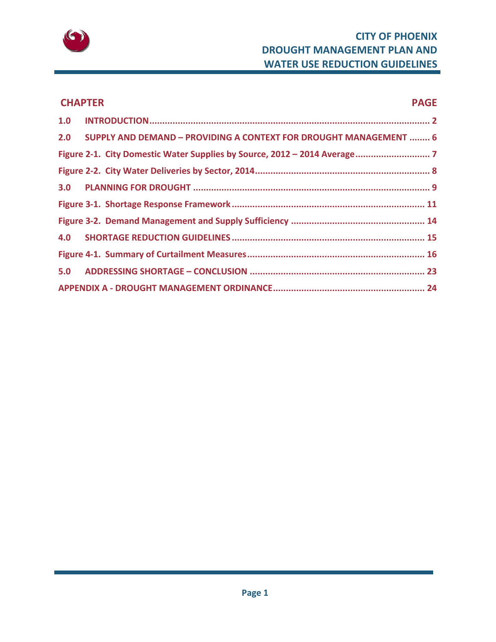

# **CHAPTER PAGE 1.0 INTRODUCTION............................................................................................................. 2 2.0 SUPPLY AND DEMAND – PROVIDING A CONTEXT FOR DROUGHT MANAGEMENT ........ 6 Figure 2‐1. City Domestic Water Supplies by Source, 2012 – 2014 Average............................. 7 Figure 2‐2. City Water Deliveries by Sector, 2014.................................................................... 8 3.0 PLANNING FOR DROUGHT ............................................................................................ 9 Figure 3‐1. Shortage Response Framework........................................................................... 11 Figure 3‐2. Demand Management and Supply Sufficiency .................................................... 14 4.0 SHORTAGE REDUCTION GUIDELINES ........................................................................... 15 Figure 4‐1. Summary of Curtailment Measures..................................................................... 16 5.0 ADDRESSING SHORTAGE – CONCLUSION .................................................................... 23 APPENDIX A ‐ DROUGHT MANAGEMENT ORDINANCE........................................................... 24**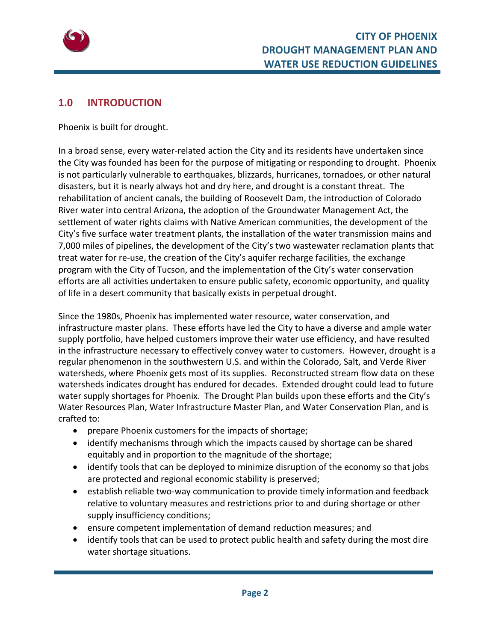

# **1.0 INTRODUCTION**

Phoenix is built for drought.

In a broad sense, every water‐related action the City and its residents have undertaken since the City was founded has been for the purpose of mitigating or responding to drought. Phoenix is not particularly vulnerable to earthquakes, blizzards, hurricanes, tornadoes, or other natural disasters, but it is nearly always hot and dry here, and drought is a constant threat. The rehabilitation of ancient canals, the building of Roosevelt Dam, the introduction of Colorado River water into central Arizona, the adoption of the Groundwater Management Act, the settlement of water rights claims with Native American communities, the development of the City's five surface water treatment plants, the installation of the water transmission mains and 7,000 miles of pipelines, the development of the City's two wastewater reclamation plants that treat water for re‐use, the creation of the City's aquifer recharge facilities, the exchange program with the City of Tucson, and the implementation of the City's water conservation efforts are all activities undertaken to ensure public safety, economic opportunity, and quality of life in a desert community that basically exists in perpetual drought.

Since the 1980s, Phoenix has implemented water resource, water conservation, and infrastructure master plans. These efforts have led the City to have a diverse and ample water supply portfolio, have helped customers improve their water use efficiency, and have resulted in the infrastructure necessary to effectively convey water to customers. However, drought is a regular phenomenon in the southwestern U.S. and within the Colorado, Salt, and Verde River watersheds, where Phoenix gets most of its supplies. Reconstructed stream flow data on these watersheds indicates drought has endured for decades. Extended drought could lead to future water supply shortages for Phoenix. The Drought Plan builds upon these efforts and the City's Water Resources Plan, Water Infrastructure Master Plan, and Water Conservation Plan, and is crafted to:

- prepare Phoenix customers for the impacts of shortage;
- identify mechanisms through which the impacts caused by shortage can be shared equitably and in proportion to the magnitude of the shortage;
- identify tools that can be deployed to minimize disruption of the economy so that jobs are protected and regional economic stability is preserved;
- establish reliable two-way communication to provide timely information and feedback relative to voluntary measures and restrictions prior to and during shortage or other supply insufficiency conditions;
- ensure competent implementation of demand reduction measures; and
- identify tools that can be used to protect public health and safety during the most dire water shortage situations.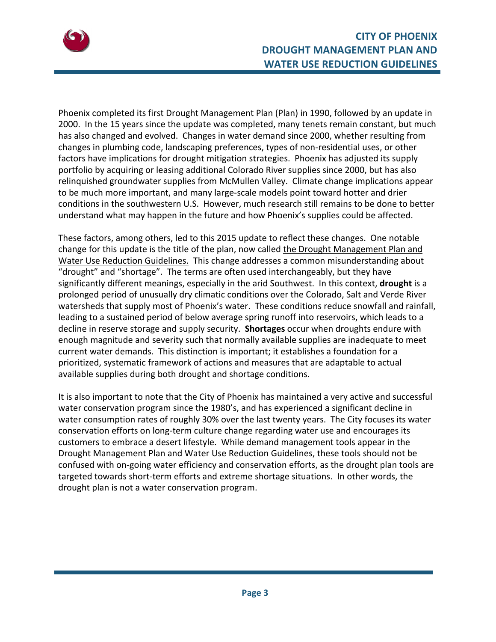

Phoenix completed its first Drought Management Plan (Plan) in 1990, followed by an update in 2000. In the 15 years since the update was completed, many tenets remain constant, but much has also changed and evolved. Changes in water demand since 2000, whether resulting from changes in plumbing code, landscaping preferences, types of non‐residential uses, or other factors have implications for drought mitigation strategies. Phoenix has adjusted its supply portfolio by acquiring or leasing additional Colorado River supplies since 2000, but has also relinquished groundwater supplies from McMullen Valley. Climate change implications appear to be much more important, and many large‐scale models point toward hotter and drier conditions in the southwestern U.S. However, much research still remains to be done to better understand what may happen in the future and how Phoenix's supplies could be affected.

These factors, among others, led to this 2015 update to reflect these changes. One notable change for this update is the title of the plan, now called the Drought Management Plan and Water Use Reduction Guidelines. This change addresses a common misunderstanding about "drought" and "shortage". The terms are often used interchangeably, but they have significantly different meanings, especially in the arid Southwest. In this context, **drought** is a prolonged period of unusually dry climatic conditions over the Colorado, Salt and Verde River watersheds that supply most of Phoenix's water. These conditions reduce snowfall and rainfall, leading to a sustained period of below average spring runoff into reservoirs, which leads to a decline in reserve storage and supply security. **Shortages** occur when droughts endure with enough magnitude and severity such that normally available supplies are inadequate to meet current water demands. This distinction is important; it establishes a foundation for a prioritized, systematic framework of actions and measures that are adaptable to actual available supplies during both drought and shortage conditions.

It is also important to note that the City of Phoenix has maintained a very active and successful water conservation program since the 1980's, and has experienced a significant decline in water consumption rates of roughly 30% over the last twenty years. The City focuses its water conservation efforts on long‐term culture change regarding water use and encourages its customers to embrace a desert lifestyle. While demand management tools appear in the Drought Management Plan and Water Use Reduction Guidelines, these tools should not be confused with on‐going water efficiency and conservation efforts, as the drought plan tools are targeted towards short-term efforts and extreme shortage situations. In other words, the drought plan is not a water conservation program.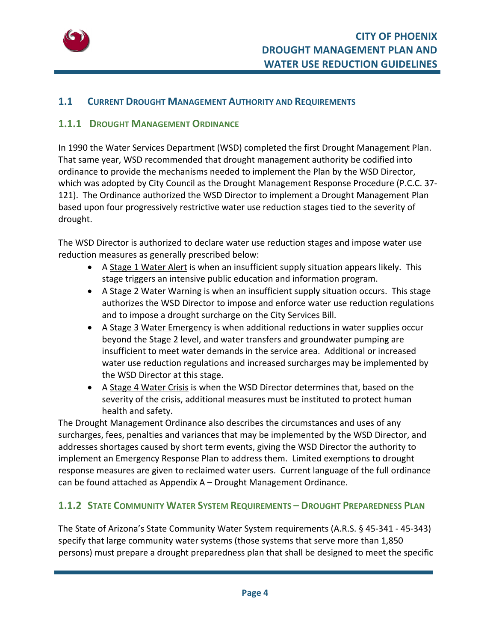

#### **1.1 CURRENT DROUGHT MANAGEMENT AUTHORITY AND REQUIREMENTS**

#### **1.1.1 DROUGHT MANAGEMENT ORDINANCE**

In 1990 the Water Services Department (WSD) completed the first Drought Management Plan. That same year, WSD recommended that drought management authority be codified into ordinance to provide the mechanisms needed to implement the Plan by the WSD Director, which was adopted by City Council as the Drought Management Response Procedure (P.C.C. 37‐ 121). The Ordinance authorized the WSD Director to implement a Drought Management Plan based upon four progressively restrictive water use reduction stages tied to the severity of drought.

The WSD Director is authorized to declare water use reduction stages and impose water use reduction measures as generally prescribed below:

- A Stage 1 Water Alert is when an insufficient supply situation appears likely. This stage triggers an intensive public education and information program.
- A Stage 2 Water Warning is when an insufficient supply situation occurs. This stage authorizes the WSD Director to impose and enforce water use reduction regulations and to impose a drought surcharge on the City Services Bill.
- A Stage 3 Water Emergency is when additional reductions in water supplies occur beyond the Stage 2 level, and water transfers and groundwater pumping are insufficient to meet water demands in the service area. Additional or increased water use reduction regulations and increased surcharges may be implemented by the WSD Director at this stage.
- A Stage 4 Water Crisis is when the WSD Director determines that, based on the severity of the crisis, additional measures must be instituted to protect human health and safety.

The Drought Management Ordinance also describes the circumstances and uses of any surcharges, fees, penalties and variances that may be implemented by the WSD Director, and addresses shortages caused by short term events, giving the WSD Director the authority to implement an Emergency Response Plan to address them. Limited exemptions to drought response measures are given to reclaimed water users. Current language of the full ordinance can be found attached as Appendix A – Drought Management Ordinance.

# **1.1.2 STATE COMMUNITY WATER SYSTEM REQUIREMENTS – DROUGHT PREPAREDNESS PLAN**

The State of Arizona's State Community Water System requirements (A.R.S. § 45‐341 ‐ 45‐343) specify that large community water systems (those systems that serve more than 1,850 persons) must prepare a drought preparedness plan that shall be designed to meet the specific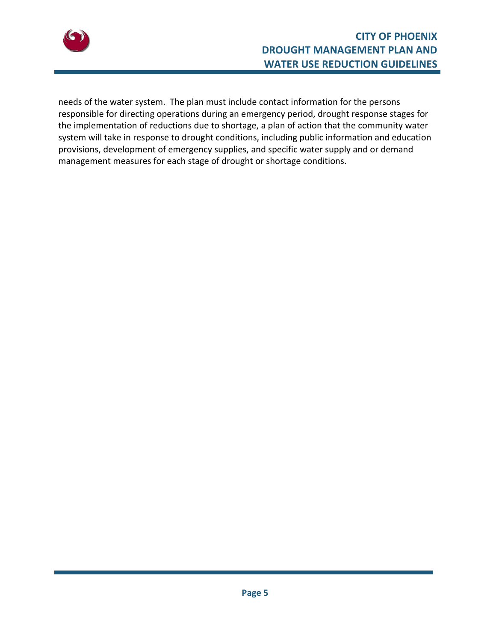

needs of the water system. The plan must include contact information for the persons responsible for directing operations during an emergency period, drought response stages for the implementation of reductions due to shortage, a plan of action that the community water system will take in response to drought conditions, including public information and education provisions, development of emergency supplies, and specific water supply and or demand management measures for each stage of drought or shortage conditions.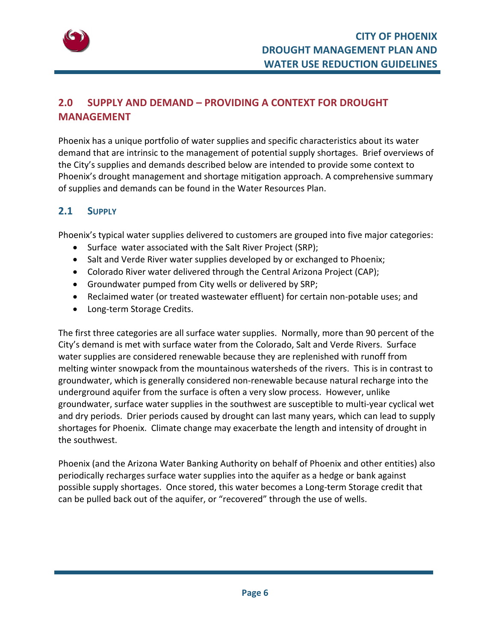

# **2.0 SUPPLY AND DEMAND – PROVIDING A CONTEXT FOR DROUGHT MANAGEMENT**

Phoenix has a unique portfolio of water supplies and specific characteristics about its water demand that are intrinsic to the management of potential supply shortages. Brief overviews of the City's supplies and demands described below are intended to provide some context to Phoenix's drought management and shortage mitigation approach. A comprehensive summary of supplies and demands can be found in the Water Resources Plan.

# **2.1 SUPPLY**

Phoenix's typical water supplies delivered to customers are grouped into five major categories:

- Surface water associated with the Salt River Project (SRP);
- Salt and Verde River water supplies developed by or exchanged to Phoenix;
- Colorado River water delivered through the Central Arizona Project (CAP);
- Groundwater pumped from City wells or delivered by SRP;
- Reclaimed water (or treated wastewater effluent) for certain non‐potable uses; and
- Long-term Storage Credits.

The first three categories are all surface water supplies. Normally, more than 90 percent of the City's demand is met with surface water from the Colorado, Salt and Verde Rivers. Surface water supplies are considered renewable because they are replenished with runoff from melting winter snowpack from the mountainous watersheds of the rivers. This is in contrast to groundwater, which is generally considered non‐renewable because natural recharge into the underground aquifer from the surface is often a very slow process. However, unlike groundwater, surface water supplies in the southwest are susceptible to multi‐year cyclical wet and dry periods. Drier periods caused by drought can last many years, which can lead to supply shortages for Phoenix. Climate change may exacerbate the length and intensity of drought in the southwest.

Phoenix (and the Arizona Water Banking Authority on behalf of Phoenix and other entities) also periodically recharges surface water supplies into the aquifer as a hedge or bank against possible supply shortages. Once stored, this water becomes a Long‐term Storage credit that can be pulled back out of the aquifer, or "recovered" through the use of wells.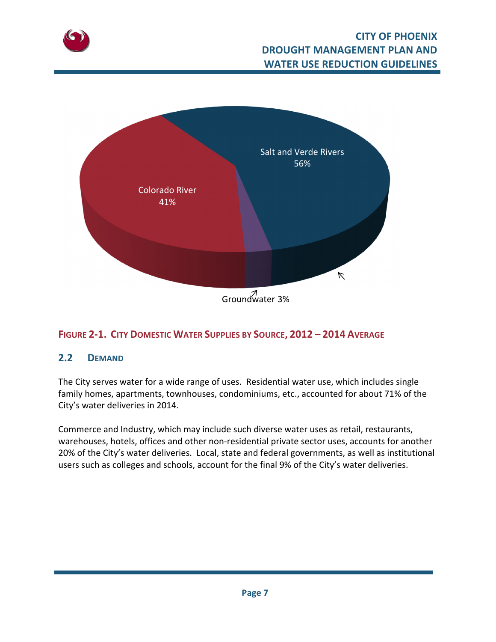



# **FIGURE 2‐1. CITY DOMESTIC WATER SUPPLIES BY SOURCE, 2012 – 2014 AVERAGE**

#### **2.2 DEMAND**

The City serves water for a wide range of uses. Residential water use, which includes single family homes, apartments, townhouses, condominiums, etc., accounted for about 71% of the City's water deliveries in 2014.

Commerce and Industry, which may include such diverse water uses as retail, restaurants, warehouses, hotels, offices and other non-residential private sector uses, accounts for another 20% of the City's water deliveries. Local, state and federal governments, as well as institutional users such as colleges and schools, account for the final 9% of the City's water deliveries.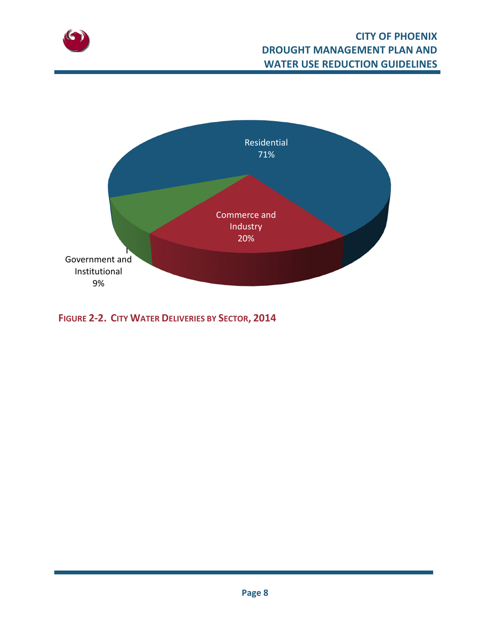



**FIGURE 2‐2. CITY WATER DELIVERIES BY SECTOR, 2014**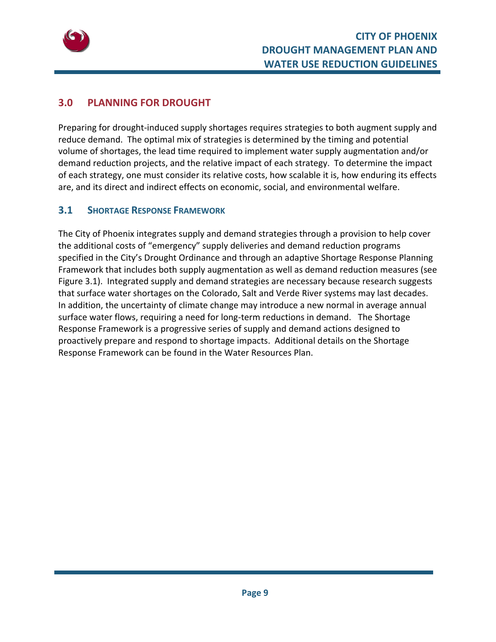

# **3.0 PLANNING FOR DROUGHT**

Preparing for drought‐induced supply shortages requires strategies to both augment supply and reduce demand. The optimal mix of strategies is determined by the timing and potential volume of shortages, the lead time required to implement water supply augmentation and/or demand reduction projects, and the relative impact of each strategy. To determine the impact of each strategy, one must consider its relative costs, how scalable it is, how enduring its effects are, and its direct and indirect effects on economic, social, and environmental welfare.

# **3.1 SHORTAGE RESPONSE FRAMEWORK**

The City of Phoenix integrates supply and demand strategies through a provision to help cover the additional costs of "emergency" supply deliveries and demand reduction programs specified in the City's Drought Ordinance and through an adaptive Shortage Response Planning Framework that includes both supply augmentation as well as demand reduction measures (see Figure 3.1). Integrated supply and demand strategies are necessary because research suggests that surface water shortages on the Colorado, Salt and Verde River systems may last decades. In addition, the uncertainty of climate change may introduce a new normal in average annual surface water flows, requiring a need for long-term reductions in demand. The Shortage Response Framework is a progressive series of supply and demand actions designed to proactively prepare and respond to shortage impacts. Additional details on the Shortage Response Framework can be found in the Water Resources Plan.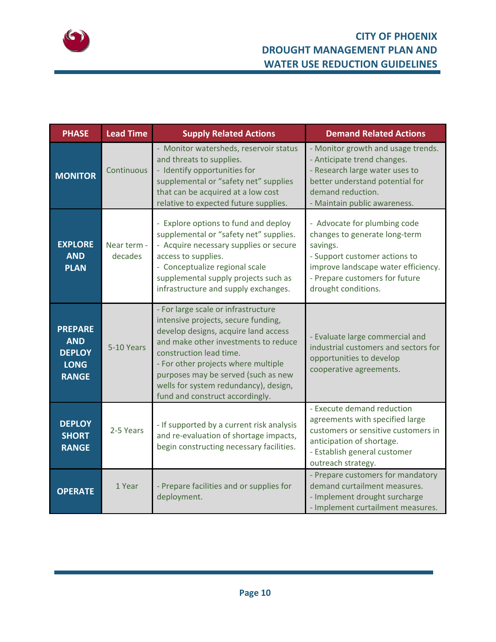

| <b>PHASE</b>                                                                 | <b>Lead Time</b>       | <b>Supply Related Actions</b>                                                                                                                                                                                                                                                                                                                   | <b>Demand Related Actions</b>                                                                                                                                                                              |  |  |  |  |  |  |
|------------------------------------------------------------------------------|------------------------|-------------------------------------------------------------------------------------------------------------------------------------------------------------------------------------------------------------------------------------------------------------------------------------------------------------------------------------------------|------------------------------------------------------------------------------------------------------------------------------------------------------------------------------------------------------------|--|--|--|--|--|--|
| <b>MONITOR</b>                                                               | Continuous             | - Monitor watersheds, reservoir status<br>and threats to supplies.<br>- Identify opportunities for<br>supplemental or "safety net" supplies<br>that can be acquired at a low cost<br>relative to expected future supplies.                                                                                                                      | - Monitor growth and usage trends.<br>- Anticipate trend changes.<br>- Research large water uses to<br>better understand potential for<br>demand reduction.<br>- Maintain public awareness.                |  |  |  |  |  |  |
| <b>EXPLORE</b><br><b>AND</b><br><b>PLAN</b>                                  | Near term -<br>decades | - Explore options to fund and deploy<br>supplemental or "safety net" supplies.<br>- Acquire necessary supplies or secure<br>access to supplies.<br>- Conceptualize regional scale<br>supplemental supply projects such as<br>infrastructure and supply exchanges.                                                                               | - Advocate for plumbing code<br>changes to generate long-term<br>savings.<br>- Support customer actions to<br>improve landscape water efficiency.<br>- Prepare customers for future<br>drought conditions. |  |  |  |  |  |  |
| <b>PREPARE</b><br><b>AND</b><br><b>DEPLOY</b><br><b>LONG</b><br><b>RANGE</b> | 5-10 Years             | - For large scale or infrastructure<br>intensive projects, secure funding,<br>develop designs, acquire land access<br>and make other investments to reduce<br>construction lead time.<br>- For other projects where multiple<br>purposes may be served (such as new<br>wells for system redundancy), design,<br>fund and construct accordingly. | - Evaluate large commercial and<br>industrial customers and sectors for<br>opportunities to develop<br>cooperative agreements.                                                                             |  |  |  |  |  |  |
| <b>DEPLOY</b><br><b>SHORT</b><br><b>RANGE</b>                                | 2-5 Years              | - If supported by a current risk analysis<br>and re-evaluation of shortage impacts,<br>begin constructing necessary facilities.                                                                                                                                                                                                                 | - Execute demand reduction<br>agreements with specified large<br>customers or sensitive customers in<br>anticipation of shortage.<br>- Establish general customer<br>outreach strategy.                    |  |  |  |  |  |  |
| <b>OPERATE</b>                                                               | 1 Year                 | - Prepare facilities and or supplies for<br>deployment.                                                                                                                                                                                                                                                                                         | - Prepare customers for mandatory<br>demand curtailment measures.<br>- Implement drought surcharge<br>- Implement curtailment measures.                                                                    |  |  |  |  |  |  |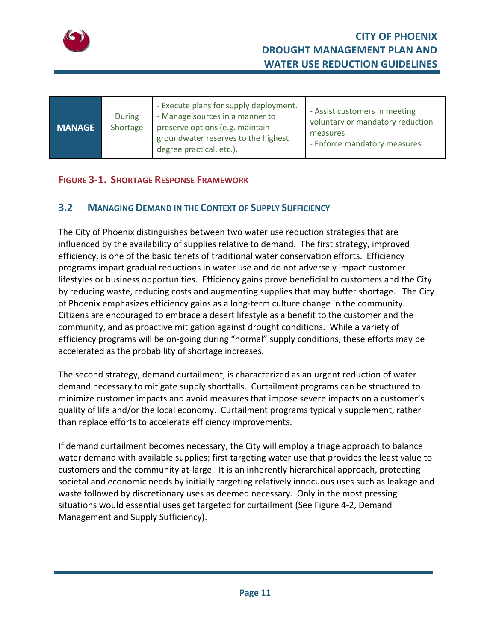

| <b>MANAGE</b> | During<br>Shortage | - Execute plans for supply deployment.<br>- Manage sources in a manner to<br>preserve options (e.g. maintain<br>groundwater reserves to the highest<br>degree practical, etc.). | - Assist customers in meeting<br>voluntary or mandatory reduction<br>measures<br>- Enforce mandatory measures. |
|---------------|--------------------|---------------------------------------------------------------------------------------------------------------------------------------------------------------------------------|----------------------------------------------------------------------------------------------------------------|
|---------------|--------------------|---------------------------------------------------------------------------------------------------------------------------------------------------------------------------------|----------------------------------------------------------------------------------------------------------------|

#### **FIGURE 3‐1. SHORTAGE RESPONSE FRAMEWORK**

#### **3.2 MANAGING DEMAND IN THE CONTEXT OF SUPPLY SUFFICIENCY**

The City of Phoenix distinguishes between two water use reduction strategies that are influenced by the availability of supplies relative to demand. The first strategy, improved efficiency, is one of the basic tenets of traditional water conservation efforts. Efficiency programs impart gradual reductions in water use and do not adversely impact customer lifestyles or business opportunities. Efficiency gains prove beneficial to customers and the City by reducing waste, reducing costs and augmenting supplies that may buffer shortage. The City of Phoenix emphasizes efficiency gains as a long‐term culture change in the community. Citizens are encouraged to embrace a desert lifestyle as a benefit to the customer and the community, and as proactive mitigation against drought conditions. While a variety of efficiency programs will be on‐going during "normal" supply conditions, these efforts may be accelerated as the probability of shortage increases.

The second strategy, demand curtailment, is characterized as an urgent reduction of water demand necessary to mitigate supply shortfalls. Curtailment programs can be structured to minimize customer impacts and avoid measures that impose severe impacts on a customer's quality of life and/or the local economy. Curtailment programs typically supplement, rather than replace efforts to accelerate efficiency improvements.

If demand curtailment becomes necessary, the City will employ a triage approach to balance water demand with available supplies; first targeting water use that provides the least value to customers and the community at‐large. It is an inherently hierarchical approach, protecting societal and economic needs by initially targeting relatively innocuous uses such as leakage and waste followed by discretionary uses as deemed necessary. Only in the most pressing situations would essential uses get targeted for curtailment (See Figure 4‐2, Demand Management and Supply Sufficiency).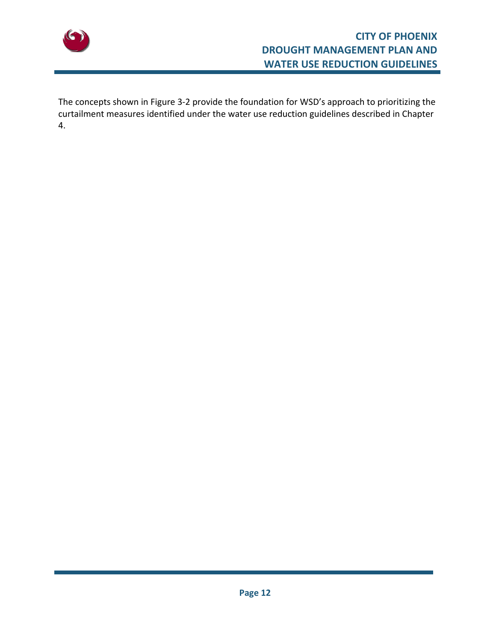

The concepts shown in Figure 3‐2 provide the foundation for WSD's approach to prioritizing the curtailment measures identified under the water use reduction guidelines described in Chapter 4.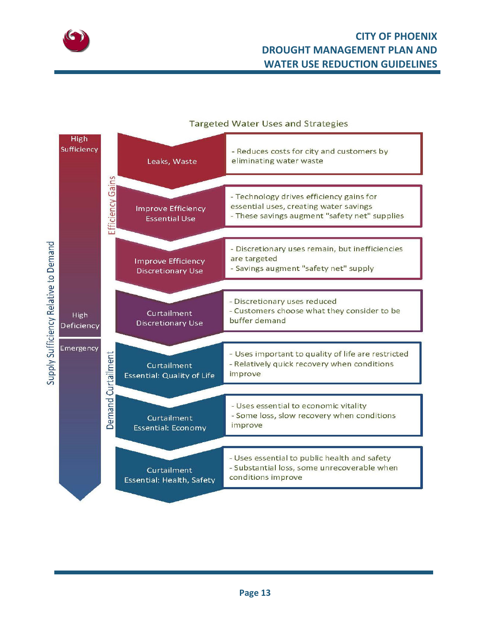

# **CITY OF PHOENIX DROUGHT MANAGEMENT PLAN AND WATER USE REDUCTION GUIDELINES**

#### **Targeted Water Uses and Strategies**

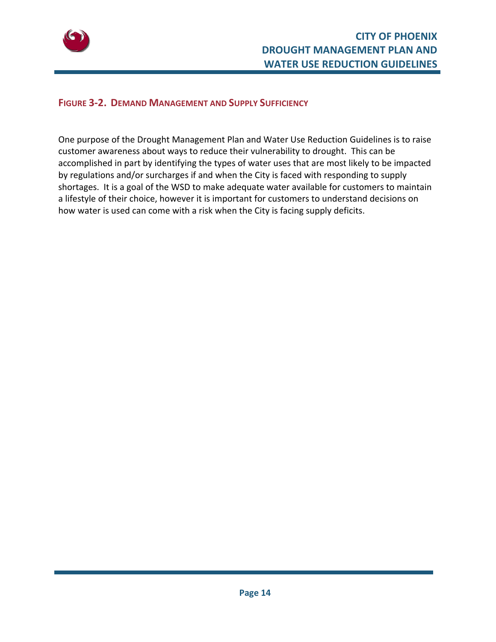

#### **FIGURE 3‐2. DEMAND MANAGEMENT AND SUPPLY SUFFICIENCY**

One purpose of the Drought Management Plan and Water Use Reduction Guidelines is to raise customer awareness about ways to reduce their vulnerability to drought. This can be accomplished in part by identifying the types of water uses that are most likely to be impacted by regulations and/or surcharges if and when the City is faced with responding to supply shortages. It is a goal of the WSD to make adequate water available for customers to maintain a lifestyle of their choice, however it is important for customers to understand decisions on how water is used can come with a risk when the City is facing supply deficits.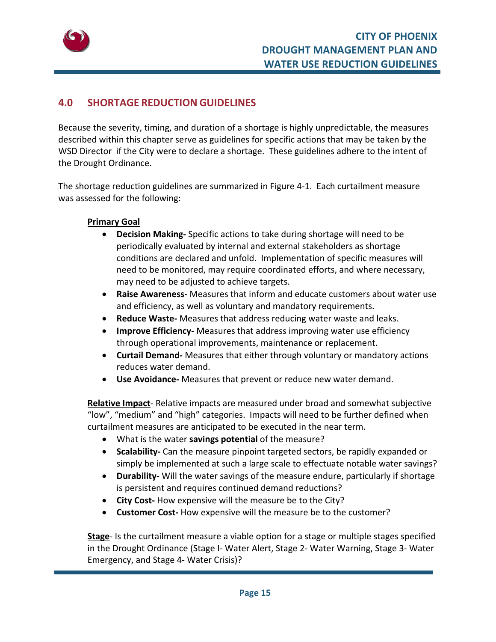

# **4.0 SHORTAGE REDUCTION GUIDELINES**

Because the severity, timing, and duration of a shortage is highly unpredictable, the measures described within this chapter serve as guidelines for specific actions that may be taken by the WSD Director if the City were to declare a shortage. These guidelines adhere to the intent of the Drought Ordinance.

The shortage reduction guidelines are summarized in Figure 4‐1. Each curtailment measure was assessed for the following:

#### **Primary Goal**

- **Decision Making‐** Specific actions to take during shortage will need to be periodically evaluated by internal and external stakeholders as shortage conditions are declared and unfold. Implementation of specific measures will need to be monitored, may require coordinated efforts, and where necessary, may need to be adjusted to achieve targets.
- **Raise Awareness‐** Measures that inform and educate customers about water use and efficiency, as well as voluntary and mandatory requirements.
- **Reduce Waste‐** Measures that address reducing water waste and leaks.
- **Improve Efficiency‐** Measures that address improving water use efficiency through operational improvements, maintenance or replacement.
- **Curtail Demand‐** Measures that either through voluntary or mandatory actions reduces water demand.
- **Use Avoidance‐** Measures that prevent or reduce new water demand.

**Relative Impact**‐ Relative impacts are measured under broad and somewhat subjective "low", "medium" and "high" categories. Impacts will need to be further defined when curtailment measures are anticipated to be executed in the near term.

- What is the water **savings potential** of the measure?
- **•** Scalability- Can the measure pinpoint targeted sectors, be rapidly expanded or simply be implemented at such a large scale to effectuate notable water savings?
- **Durability‐** Will the water savings of the measure endure, particularly if shortage is persistent and requires continued demand reductions?
- **City Cost‐** How expensive will the measure be to the City?
- **Customer Cost-** How expensive will the measure be to the customer?

**Stage**‐ Is the curtailment measure a viable option for a stage or multiple stages specified in the Drought Ordinance (Stage I‐ Water Alert, Stage 2‐ Water Warning, Stage 3‐ Water Emergency, and Stage 4‐ Water Crisis)?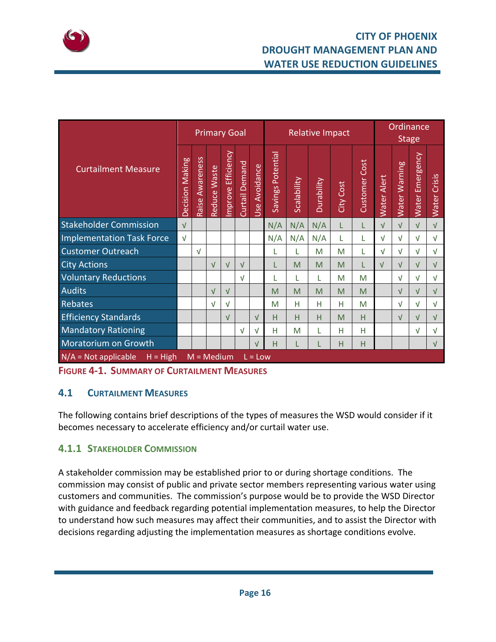

# **CITY OF PHOENIX DROUGHT MANAGEMENT PLAN AND WATER USE REDUCTION GUIDELINES**

| <b>Curtailment Measure</b>                                        |  | <b>Primary Goal</b> |              |                      |                | <b>Relative Impact</b> |                   |             |            |                  | Ordinance<br><b>Stage</b> |                       |               |                                 |                        |
|-------------------------------------------------------------------|--|---------------------|--------------|----------------------|----------------|------------------------|-------------------|-------------|------------|------------------|---------------------------|-----------------------|---------------|---------------------------------|------------------------|
|                                                                   |  | Raise Awareness     | Reduce Waste | Efficiency<br>mprove | Curtail Demand | Avoidance<br>Use       | Savings Potential | Scalability | Durability | <b>City Cost</b> | Customer Cost             | Alert<br><b>Water</b> | Water Warning | Emergency<br>Water <sup>1</sup> | Crisis<br><b>Water</b> |
| <b>Stakeholder Commission</b>                                     |  |                     |              |                      |                |                        | N/A               | N/A         | N/A        | L                | L                         | $\sqrt{ }$            | $\sqrt{ }$    | $\sqrt{ }$                      | $\sqrt{ }$             |
| <b>Implementation Task Force</b>                                  |  |                     |              |                      |                |                        | N/A               | N/A         | N/A        |                  |                           | $\sqrt{ }$            | $\sqrt{ }$    | $\sqrt{}$                       | $\sqrt{ }$             |
| <b>Customer Outreach</b>                                          |  | $\sqrt{ }$          |              |                      |                |                        | L                 | L           | M          | M                | L                         | $\sqrt{ }$            | $\sqrt{ }$    | V                               | $\sqrt{ }$             |
| <b>City Actions</b>                                               |  |                     | $\sqrt{ }$   | $\sqrt{ }$           | $\sqrt{ }$     |                        |                   | M           | M          | M                |                           | $\sqrt{ }$            | $\sqrt{ }$    | ν                               | $\sqrt{ }$             |
| <b>Voluntary Reductions</b>                                       |  |                     |              |                      | $\sqrt{ }$     |                        |                   | L           | L          | M                | M                         |                       | $\sqrt{ }$    | ν                               | $\sqrt{ }$             |
| <b>Audits</b>                                                     |  |                     | V            | $\sqrt{ }$           |                |                        | M                 | M           | M          | M                | M                         |                       | $\sqrt{ }$    | ν                               | $\sqrt{ }$             |
| Rebates                                                           |  |                     | $\sqrt{ }$   | $\sqrt{ }$           |                |                        | M                 | H           | Н          | H                | M                         |                       | $\sqrt{ }$    | ν                               | $\sqrt{ }$             |
| <b>Efficiency Standards</b>                                       |  |                     |              | $\sqrt{ }$           |                | $\sqrt{ }$             | H                 | H           | H          | M                | н                         |                       | $\sqrt{ }$    | ν                               | V                      |
| <b>Mandatory Rationing</b>                                        |  |                     |              |                      | $\sqrt{ }$     | $\sqrt{ }$             | H                 | M           | L          | H                | н                         |                       |               | ν                               | $\sqrt{ }$             |
| Moratorium on Growth                                              |  |                     |              |                      |                | $\sqrt{}$              | H                 | L           | L          | Н                | н                         |                       |               |                                 | $\sqrt{ }$             |
| $N/A = Not applicable$<br>$H = High$<br>$M = Medium$<br>$L = Low$ |  |                     |              |                      |                |                        |                   |             |            |                  |                           |                       |               |                                 |                        |

**FIGURE 4‐1. SUMMARY OF CURTAILMENT MEASURES**

# **4.1 CURTAILMENT MEASURES**

The following contains brief descriptions of the types of measures the WSD would consider if it becomes necessary to accelerate efficiency and/or curtail water use.

# **4.1.1 STAKEHOLDER COMMISSION**

A stakeholder commission may be established prior to or during shortage conditions. The commission may consist of public and private sector members representing various water using customers and communities. The commission's purpose would be to provide the WSD Director with guidance and feedback regarding potential implementation measures, to help the Director to understand how such measures may affect their communities, and to assist the Director with decisions regarding adjusting the implementation measures as shortage conditions evolve.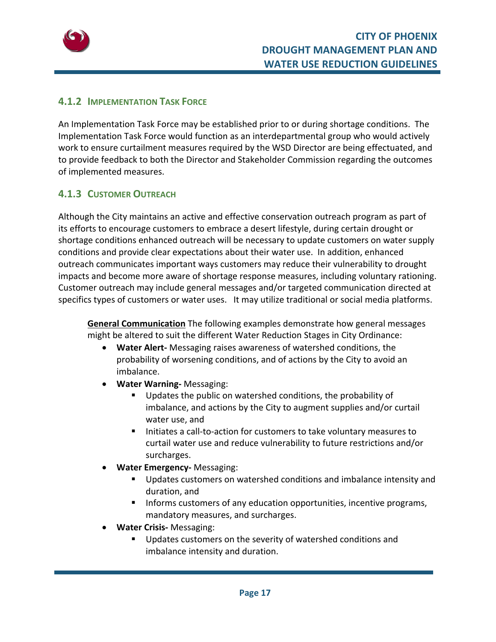

#### **4.1.2 IMPLEMENTATION TASK FORCE**

An Implementation Task Force may be established prior to or during shortage conditions. The Implementation Task Force would function as an interdepartmental group who would actively work to ensure curtailment measures required by the WSD Director are being effectuated, and to provide feedback to both the Director and Stakeholder Commission regarding the outcomes of implemented measures.

#### **4.1.3 CUSTOMER OUTREACH**

Although the City maintains an active and effective conservation outreach program as part of its efforts to encourage customers to embrace a desert lifestyle, during certain drought or shortage conditions enhanced outreach will be necessary to update customers on water supply conditions and provide clear expectations about their water use. In addition, enhanced outreach communicates important ways customers may reduce their vulnerability to drought impacts and become more aware of shortage response measures, including voluntary rationing. Customer outreach may include general messages and/or targeted communication directed at specifics types of customers or water uses. It may utilize traditional or social media platforms.

**General Communication** The following examples demonstrate how general messages might be altered to suit the different Water Reduction Stages in City Ordinance:

- **Water Alert‐** Messaging raises awareness of watershed conditions, the probability of worsening conditions, and of actions by the City to avoid an imbalance.
- **Water Warning‐** Messaging:
	- Updates the public on watershed conditions, the probability of imbalance, and actions by the City to augment supplies and/or curtail water use, and
	- Initiates a call-to-action for customers to take voluntary measures to curtail water use and reduce vulnerability to future restrictions and/or surcharges.
- **Water Emergency‐** Messaging:
	- **Updates customers on watershed conditions and imbalance intensity and** duration, and
	- **Informs customers of any education opportunities, incentive programs,** mandatory measures, and surcharges.
- **Water Crisis‐** Messaging:
	- **Updates customers on the severity of watershed conditions and** imbalance intensity and duration.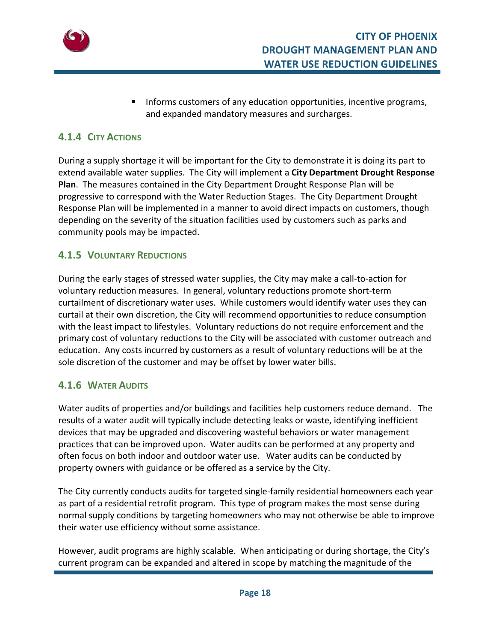

 Informs customers of any education opportunities, incentive programs, and expanded mandatory measures and surcharges.

# **4.1.4 CITY ACTIONS**

During a supply shortage it will be important for the City to demonstrate it is doing its part to extend available water supplies. The City will implement a **City Department Drought Response Plan**. The measures contained in the City Department Drought Response Plan will be progressive to correspond with the Water Reduction Stages. The City Department Drought Response Plan will be implemented in a manner to avoid direct impacts on customers, though depending on the severity of the situation facilities used by customers such as parks and community pools may be impacted.

#### **4.1.5 VOLUNTARY REDUCTIONS**

During the early stages of stressed water supplies, the City may make a call‐to‐action for voluntary reduction measures. In general, voluntary reductions promote short‐term curtailment of discretionary water uses. While customers would identify water uses they can curtail at their own discretion, the City will recommend opportunities to reduce consumption with the least impact to lifestyles. Voluntary reductions do not require enforcement and the primary cost of voluntary reductions to the City will be associated with customer outreach and education. Any costs incurred by customers as a result of voluntary reductions will be at the sole discretion of the customer and may be offset by lower water bills.

# **4.1.6 WATER AUDITS**

Water audits of properties and/or buildings and facilities help customers reduce demand. The results of a water audit will typically include detecting leaks or waste, identifying inefficient devices that may be upgraded and discovering wasteful behaviors or water management practices that can be improved upon. Water audits can be performed at any property and often focus on both indoor and outdoor water use. Water audits can be conducted by property owners with guidance or be offered as a service by the City.

The City currently conducts audits for targeted single‐family residential homeowners each year as part of a residential retrofit program. This type of program makes the most sense during normal supply conditions by targeting homeowners who may not otherwise be able to improve their water use efficiency without some assistance.

However, audit programs are highly scalable. When anticipating or during shortage, the City's current program can be expanded and altered in scope by matching the magnitude of the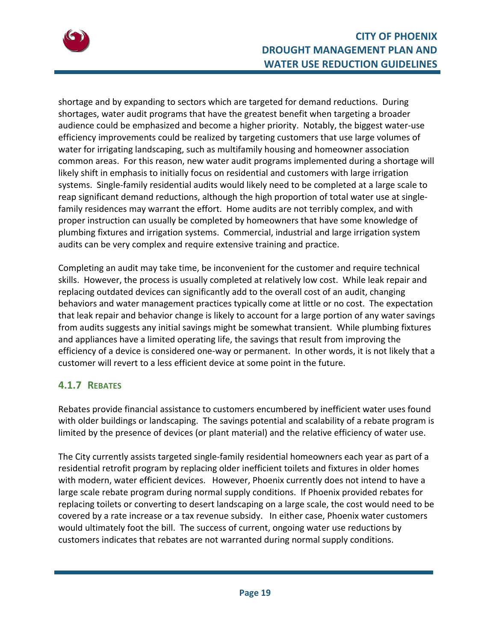

shortage and by expanding to sectors which are targeted for demand reductions. During shortages, water audit programs that have the greatest benefit when targeting a broader audience could be emphasized and become a higher priority. Notably, the biggest water‐use efficiency improvements could be realized by targeting customers that use large volumes of water for irrigating landscaping, such as multifamily housing and homeowner association common areas. For this reason, new water audit programs implemented during a shortage will likely shift in emphasis to initially focus on residential and customers with large irrigation systems. Single‐family residential audits would likely need to be completed at a large scale to reap significant demand reductions, although the high proportion of total water use at single‐ family residences may warrant the effort. Home audits are not terribly complex, and with proper instruction can usually be completed by homeowners that have some knowledge of plumbing fixtures and irrigation systems. Commercial, industrial and large irrigation system audits can be very complex and require extensive training and practice.

Completing an audit may take time, be inconvenient for the customer and require technical skills. However, the process is usually completed at relatively low cost. While leak repair and replacing outdated devices can significantly add to the overall cost of an audit, changing behaviors and water management practices typically come at little or no cost. The expectation that leak repair and behavior change is likely to account for a large portion of any water savings from audits suggests any initial savings might be somewhat transient. While plumbing fixtures and appliances have a limited operating life, the savings that result from improving the efficiency of a device is considered one‐way or permanent. In other words, it is not likely that a customer will revert to a less efficient device at some point in the future.

# **4.1.7 REBATES**

Rebates provide financial assistance to customers encumbered by inefficient water uses found with older buildings or landscaping. The savings potential and scalability of a rebate program is limited by the presence of devices (or plant material) and the relative efficiency of water use.

The City currently assists targeted single‐family residential homeowners each year as part of a residential retrofit program by replacing older inefficient toilets and fixtures in older homes with modern, water efficient devices. However, Phoenix currently does not intend to have a large scale rebate program during normal supply conditions. If Phoenix provided rebates for replacing toilets or converting to desert landscaping on a large scale, the cost would need to be covered by a rate increase or a tax revenue subsidy. In either case, Phoenix water customers would ultimately foot the bill. The success of current, ongoing water use reductions by customers indicates that rebates are not warranted during normal supply conditions.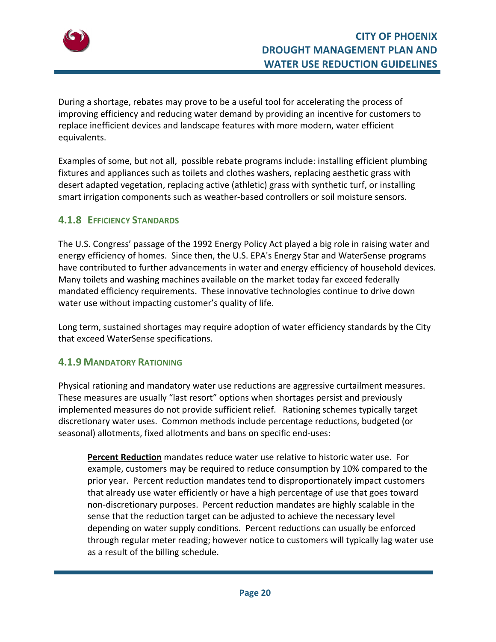

During a shortage, rebates may prove to be a useful tool for accelerating the process of improving efficiency and reducing water demand by providing an incentive for customers to replace inefficient devices and landscape features with more modern, water efficient equivalents.

Examples of some, but not all, possible rebate programs include: installing efficient plumbing fixtures and appliances such as toilets and clothes washers, replacing aesthetic grass with desert adapted vegetation, replacing active (athletic) grass with synthetic turf, or installing smart irrigation components such as weather‐based controllers or soil moisture sensors.

#### **4.1.8 EFFICIENCY STANDARDS**

The U.S. Congress' passage of the 1992 Energy Policy Act played a big role in raising water and energy efficiency of homes. Since then, the U.S. EPA's Energy Star and WaterSense programs have contributed to further advancements in water and energy efficiency of household devices. Many toilets and washing machines available on the market today far exceed federally mandated efficiency requirements. These innovative technologies continue to drive down water use without impacting customer's quality of life.

Long term, sustained shortages may require adoption of water efficiency standards by the City that exceed WaterSense specifications.

#### **4.1.9 MANDATORY RATIONING**

Physical rationing and mandatory water use reductions are aggressive curtailment measures. These measures are usually "last resort" options when shortages persist and previously implemented measures do not provide sufficient relief. Rationing schemes typically target discretionary water uses. Common methods include percentage reductions, budgeted (or seasonal) allotments, fixed allotments and bans on specific end‐uses:

**Percent Reduction** mandates reduce water use relative to historic water use. For example, customers may be required to reduce consumption by 10% compared to the prior year. Percent reduction mandates tend to disproportionately impact customers that already use water efficiently or have a high percentage of use that goes toward non‐discretionary purposes. Percent reduction mandates are highly scalable in the sense that the reduction target can be adjusted to achieve the necessary level depending on water supply conditions. Percent reductions can usually be enforced through regular meter reading; however notice to customers will typically lag water use as a result of the billing schedule.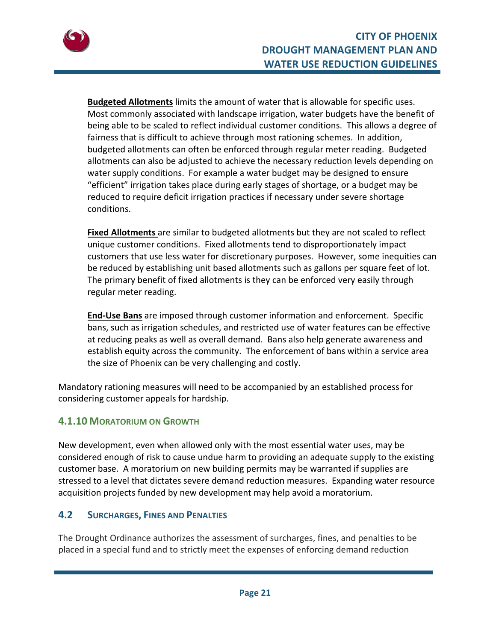

**Budgeted Allotments** limits the amount of water that is allowable for specific uses. Most commonly associated with landscape irrigation, water budgets have the benefit of being able to be scaled to reflect individual customer conditions. This allows a degree of fairness that is difficult to achieve through most rationing schemes. In addition, budgeted allotments can often be enforced through regular meter reading. Budgeted allotments can also be adjusted to achieve the necessary reduction levels depending on water supply conditions. For example a water budget may be designed to ensure "efficient" irrigation takes place during early stages of shortage, or a budget may be reduced to require deficit irrigation practices if necessary under severe shortage conditions.

**Fixed Allotments** are similar to budgeted allotments but they are not scaled to reflect unique customer conditions. Fixed allotments tend to disproportionately impact customers that use less water for discretionary purposes. However, some inequities can be reduced by establishing unit based allotments such as gallons per square feet of lot. The primary benefit of fixed allotments is they can be enforced very easily through regular meter reading.

**End‐Use Bans** are imposed through customer information and enforcement. Specific bans, such as irrigation schedules, and restricted use of water features can be effective at reducing peaks as well as overall demand. Bans also help generate awareness and establish equity across the community. The enforcement of bans within a service area the size of Phoenix can be very challenging and costly.

Mandatory rationing measures will need to be accompanied by an established process for considering customer appeals for hardship.

# **4.1.10 MORATORIUM ON GROWTH**

New development, even when allowed only with the most essential water uses, may be considered enough of risk to cause undue harm to providing an adequate supply to the existing customer base. A moratorium on new building permits may be warranted if supplies are stressed to a level that dictates severe demand reduction measures. Expanding water resource acquisition projects funded by new development may help avoid a moratorium.

#### **4.2 SURCHARGES, FINES AND PENALTIES**

The Drought Ordinance authorizes the assessment of surcharges, fines, and penalties to be placed in a special fund and to strictly meet the expenses of enforcing demand reduction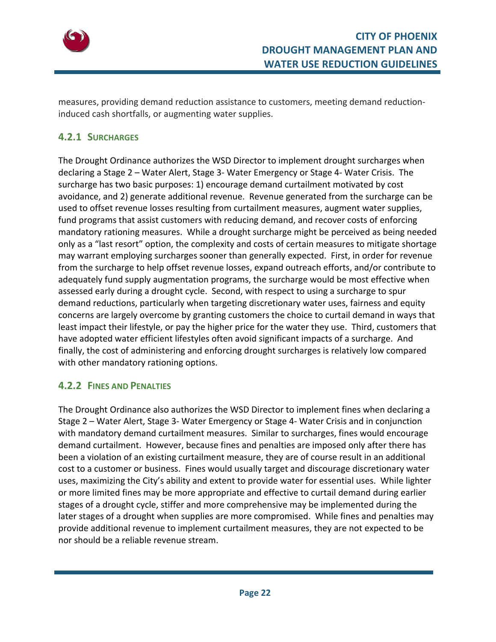

measures, providing demand reduction assistance to customers, meeting demand reduction‐ induced cash shortfalls, or augmenting water supplies.

# **4.2.1 SURCHARGES**

The Drought Ordinance authorizes the WSD Director to implement drought surcharges when declaring a Stage 2 – Water Alert, Stage 3‐ Water Emergency or Stage 4‐ Water Crisis. The surcharge has two basic purposes: 1) encourage demand curtailment motivated by cost avoidance, and 2) generate additional revenue. Revenue generated from the surcharge can be used to offset revenue losses resulting from curtailment measures, augment water supplies, fund programs that assist customers with reducing demand, and recover costs of enforcing mandatory rationing measures. While a drought surcharge might be perceived as being needed only as a "last resort" option, the complexity and costs of certain measures to mitigate shortage may warrant employing surcharges sooner than generally expected. First, in order for revenue from the surcharge to help offset revenue losses, expand outreach efforts, and/or contribute to adequately fund supply augmentation programs, the surcharge would be most effective when assessed early during a drought cycle. Second, with respect to using a surcharge to spur demand reductions, particularly when targeting discretionary water uses, fairness and equity concerns are largely overcome by granting customers the choice to curtail demand in ways that least impact their lifestyle, or pay the higher price for the water they use. Third, customers that have adopted water efficient lifestyles often avoid significant impacts of a surcharge. And finally, the cost of administering and enforcing drought surcharges is relatively low compared with other mandatory rationing options.

#### **4.2.2 FINES AND PENALTIES**

The Drought Ordinance also authorizes the WSD Director to implement fines when declaring a Stage 2 – Water Alert, Stage 3‐ Water Emergency or Stage 4‐ Water Crisis and in conjunction with mandatory demand curtailment measures. Similar to surcharges, fines would encourage demand curtailment. However, because fines and penalties are imposed only after there has been a violation of an existing curtailment measure, they are of course result in an additional cost to a customer or business. Fines would usually target and discourage discretionary water uses, maximizing the City's ability and extent to provide water for essential uses. While lighter or more limited fines may be more appropriate and effective to curtail demand during earlier stages of a drought cycle, stiffer and more comprehensive may be implemented during the later stages of a drought when supplies are more compromised. While fines and penalties may provide additional revenue to implement curtailment measures, they are not expected to be nor should be a reliable revenue stream.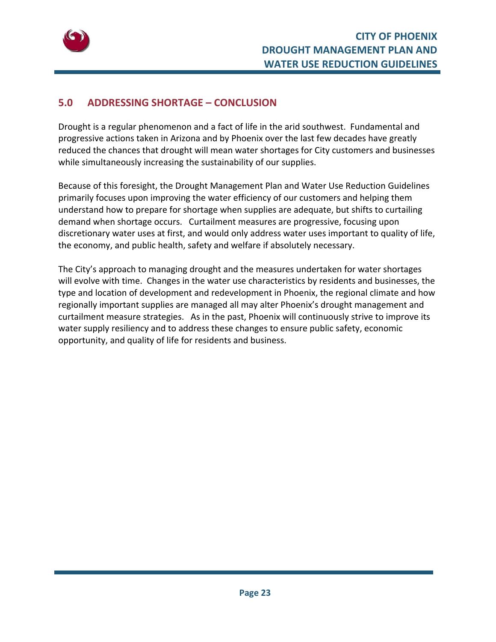

# **5.0 ADDRESSING SHORTAGE – CONCLUSION**

Drought is a regular phenomenon and a fact of life in the arid southwest. Fundamental and progressive actions taken in Arizona and by Phoenix over the last few decades have greatly reduced the chances that drought will mean water shortages for City customers and businesses while simultaneously increasing the sustainability of our supplies.

Because of this foresight, the Drought Management Plan and Water Use Reduction Guidelines primarily focuses upon improving the water efficiency of our customers and helping them understand how to prepare for shortage when supplies are adequate, but shifts to curtailing demand when shortage occurs. Curtailment measures are progressive, focusing upon discretionary water uses at first, and would only address water uses important to quality of life, the economy, and public health, safety and welfare if absolutely necessary.

The City's approach to managing drought and the measures undertaken for water shortages will evolve with time. Changes in the water use characteristics by residents and businesses, the type and location of development and redevelopment in Phoenix, the regional climate and how regionally important supplies are managed all may alter Phoenix's drought management and curtailment measure strategies. As in the past, Phoenix will continuously strive to improve its water supply resiliency and to address these changes to ensure public safety, economic opportunity, and quality of life for residents and business.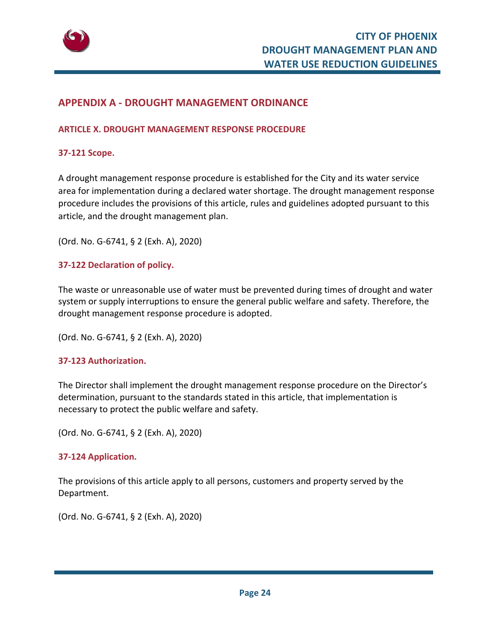

#### **APPENDIX A ‐ DROUGHT MANAGEMENT ORDINANCE**

#### **ARTICLE X. DROUGHT MANAGEMENT RESPONSE PROCEDURE**

#### **37‐121 Scope.**

A drought management response procedure is established for the City and its water service area for implementation during a declared water shortage. The drought management response procedure includes the provisions of this article, rules and guidelines adopted pursuant to this article, and the drought management plan.

(Ord. No. G‐6741, § 2 (Exh. A), 2020)

#### **37‐122 Declaration of policy.**

The waste or unreasonable use of water must be prevented during times of drought and water system or supply interruptions to ensure the general public welfare and safety. Therefore, the drought management response procedure is adopted.

(Ord. No. G‐6741, § 2 (Exh. A), 2020)

#### **37‐123 Authorization.**

The Director shall implement the drought management response procedure on the Director's determination, pursuant to the standards stated in this article, that implementation is necessary to protect the public welfare and safety.

(Ord. No. G‐6741, § 2 (Exh. A), 2020)

#### **37‐124 Application.**

The provisions of this article apply to all persons, customers and property served by the Department.

(Ord. No. G‐6741, § 2 (Exh. A), 2020)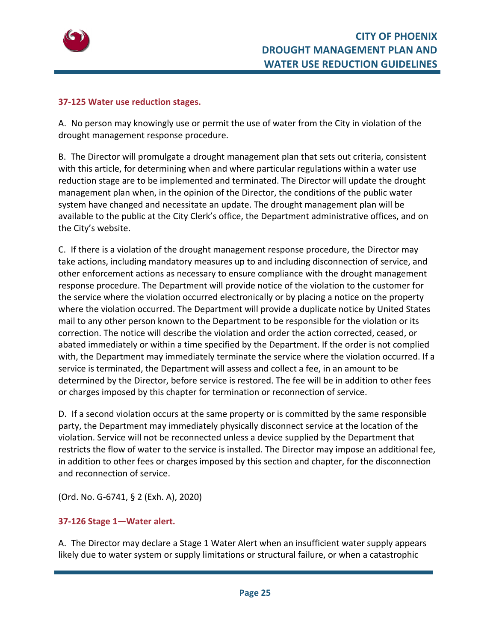

#### **37‐125 Water use reduction stages.**

A. No person may knowingly use or permit the use of water from the City in violation of the drought management response procedure.

B. The Director will promulgate a drought management plan that sets out criteria, consistent with this article, for determining when and where particular regulations within a water use reduction stage are to be implemented and terminated. The Director will update the drought management plan when, in the opinion of the Director, the conditions of the public water system have changed and necessitate an update. The drought management plan will be available to the public at the City Clerk's office, the Department administrative offices, and on the City's website.

C. If there is a violation of the drought management response procedure, the Director may take actions, including mandatory measures up to and including disconnection of service, and other enforcement actions as necessary to ensure compliance with the drought management response procedure. The Department will provide notice of the violation to the customer for the service where the violation occurred electronically or by placing a notice on the property where the violation occurred. The Department will provide a duplicate notice by United States mail to any other person known to the Department to be responsible for the violation or its correction. The notice will describe the violation and order the action corrected, ceased, or abated immediately or within a time specified by the Department. If the order is not complied with, the Department may immediately terminate the service where the violation occurred. If a service is terminated, the Department will assess and collect a fee, in an amount to be determined by the Director, before service is restored. The fee will be in addition to other fees or charges imposed by this chapter for termination or reconnection of service.

D. If a second violation occurs at the same property or is committed by the same responsible party, the Department may immediately physically disconnect service at the location of the violation. Service will not be reconnected unless a device supplied by the Department that restricts the flow of water to the service is installed. The Director may impose an additional fee, in addition to other fees or charges imposed by this section and chapter, for the disconnection and reconnection of service.

(Ord. No. G‐6741, § 2 (Exh. A), 2020)

#### **37‐126 Stage 1—Water alert.**

A. The Director may declare a Stage 1 Water Alert when an insufficient water supply appears likely due to water system or supply limitations or structural failure, or when a catastrophic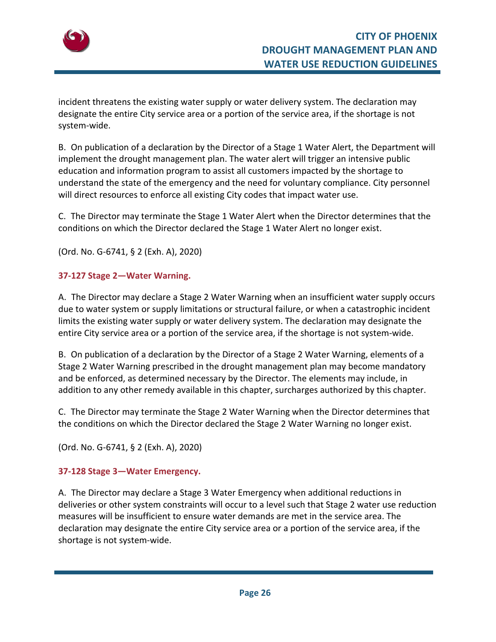

incident threatens the existing water supply or water delivery system. The declaration may designate the entire City service area or a portion of the service area, if the shortage is not system‐wide.

B. On publication of a declaration by the Director of a Stage 1 Water Alert, the Department will implement the drought management plan. The water alert will trigger an intensive public education and information program to assist all customers impacted by the shortage to understand the state of the emergency and the need for voluntary compliance. City personnel will direct resources to enforce all existing City codes that impact water use.

C. The Director may terminate the Stage 1 Water Alert when the Director determines that the conditions on which the Director declared the Stage 1 Water Alert no longer exist.

(Ord. No. G‐6741, § 2 (Exh. A), 2020)

#### **37‐127 Stage 2—Water Warning.**

A. The Director may declare a Stage 2 Water Warning when an insufficient water supply occurs due to water system or supply limitations or structural failure, or when a catastrophic incident limits the existing water supply or water delivery system. The declaration may designate the entire City service area or a portion of the service area, if the shortage is not system-wide.

B. On publication of a declaration by the Director of a Stage 2 Water Warning, elements of a Stage 2 Water Warning prescribed in the drought management plan may become mandatory and be enforced, as determined necessary by the Director. The elements may include, in addition to any other remedy available in this chapter, surcharges authorized by this chapter.

C. The Director may terminate the Stage 2 Water Warning when the Director determines that the conditions on which the Director declared the Stage 2 Water Warning no longer exist.

(Ord. No. G‐6741, § 2 (Exh. A), 2020)

#### **37‐128 Stage 3—Water Emergency.**

A. The Director may declare a Stage 3 Water Emergency when additional reductions in deliveries or other system constraints will occur to a level such that Stage 2 water use reduction measures will be insufficient to ensure water demands are met in the service area. The declaration may designate the entire City service area or a portion of the service area, if the shortage is not system‐wide.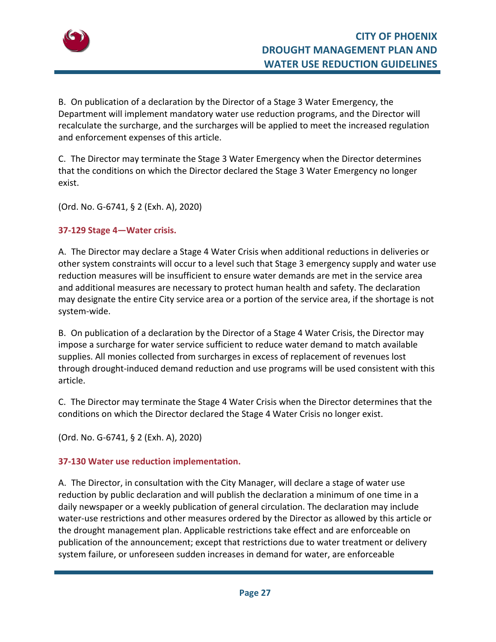

B. On publication of a declaration by the Director of a Stage 3 Water Emergency, the Department will implement mandatory water use reduction programs, and the Director will recalculate the surcharge, and the surcharges will be applied to meet the increased regulation and enforcement expenses of this article.

C. The Director may terminate the Stage 3 Water Emergency when the Director determines that the conditions on which the Director declared the Stage 3 Water Emergency no longer exist.

(Ord. No. G‐6741, § 2 (Exh. A), 2020)

#### **37‐129 Stage 4—Water crisis.**

A. The Director may declare a Stage 4 Water Crisis when additional reductions in deliveries or other system constraints will occur to a level such that Stage 3 emergency supply and water use reduction measures will be insufficient to ensure water demands are met in the service area and additional measures are necessary to protect human health and safety. The declaration may designate the entire City service area or a portion of the service area, if the shortage is not system‐wide.

B. On publication of a declaration by the Director of a Stage 4 Water Crisis, the Director may impose a surcharge for water service sufficient to reduce water demand to match available supplies. All monies collected from surcharges in excess of replacement of revenues lost through drought‐induced demand reduction and use programs will be used consistent with this article.

C. The Director may terminate the Stage 4 Water Crisis when the Director determines that the conditions on which the Director declared the Stage 4 Water Crisis no longer exist.

(Ord. No. G‐6741, § 2 (Exh. A), 2020)

#### **37‐130 Water use reduction implementation.**

A. The Director, in consultation with the City Manager, will declare a stage of water use reduction by public declaration and will publish the declaration a minimum of one time in a daily newspaper or a weekly publication of general circulation. The declaration may include water-use restrictions and other measures ordered by the Director as allowed by this article or the drought management plan. Applicable restrictions take effect and are enforceable on publication of the announcement; except that restrictions due to water treatment or delivery system failure, or unforeseen sudden increases in demand for water, are enforceable